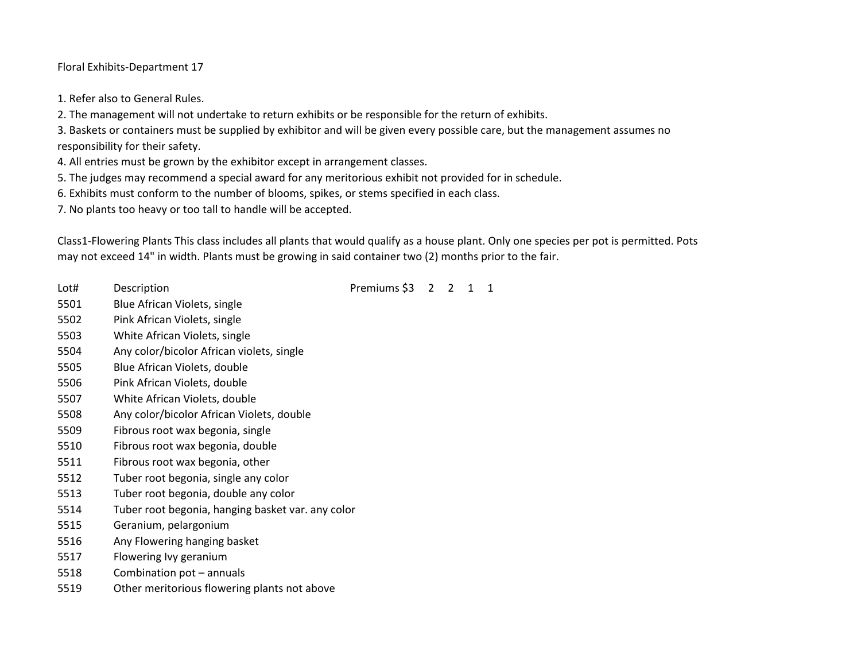Floral Exhibits-Department 17

1. Refer also to General Rules.

2. The management will not undertake to return exhibits or be responsible for the return of exhibits.

3. Baskets or containers must be supplied by exhibitor and will be given every possible care, but the management assumes no responsibility for their safety.

4. All entries must be grown by the exhibitor except in arrangement classes.

5. The judges may recommend a special award for any meritorious exhibit not provided for in schedule.

6. Exhibits must conform to the number of blooms, spikes, or stems specified in each class.

7. No plants too heavy or too tall to handle will be accepted.

Class1-Flowering Plants This class includes all plants that would qualify as a house plant. Only one species per pot is permitted. Pots may not exceed 14" in width. Plants must be growing in said container two (2) months prior to the fair.

Lot# Description **Description** Description Description Description Description Description Description Description

- Blue African Violets, single
- Pink African Violets, single
- White African Violets, single
- Any color/bicolor African violets, single
- Blue African Violets, double
- Pink African Violets, double
- White African Violets, double
- Any color/bicolor African Violets, double
- Fibrous root wax begonia, single
- Fibrous root wax begonia, double
- Fibrous root wax begonia, other
- Tuber root begonia, single any color
- Tuber root begonia, double any color
- Tuber root begonia, hanging basket var. any color
- Geranium, pelargonium
- Any Flowering hanging basket
- Flowering Ivy geranium
- Combination pot annuals
- Other meritorious flowering plants not above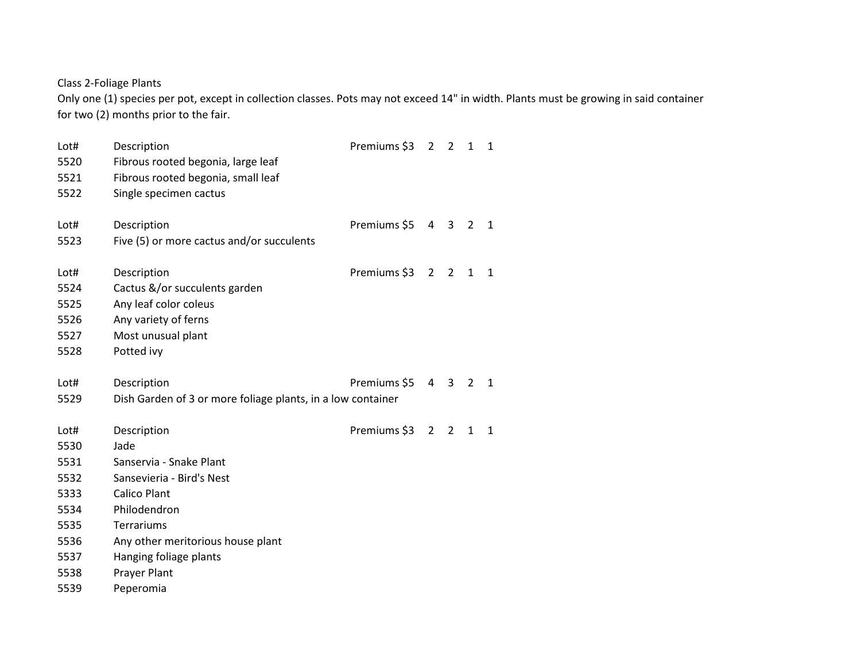Class 2-Foliage Plants

Only one (1) species per pot, except in collection classes. Pots may not exceed 14" in width. Plants must be growing in said container for two (2) months prior to the fair.

| Lot#<br>5520<br>5521<br>5522 | Description<br>Fibrous rooted begonia, large leaf<br>Fibrous rooted begonia, small leaf<br>Single specimen cactus | Premiums \$3 | 2 <sub>2</sub> |                         | 1              | 1            |
|------------------------------|-------------------------------------------------------------------------------------------------------------------|--------------|----------------|-------------------------|----------------|--------------|
| Lot#                         | Description                                                                                                       | Premiums \$5 | 4              | $\overline{\mathbf{3}}$ | $\overline{2}$ | 1            |
| 5523                         | Five (5) or more cactus and/or succulents                                                                         |              |                |                         |                |              |
| Lot#<br>5524                 | Description<br>Cactus &/or succulents garden                                                                      | Premiums \$3 | $\overline{2}$ | $\overline{2}$          | 1              | 1            |
| 5525                         | Any leaf color coleus                                                                                             |              |                |                         |                |              |
| 5526                         | Any variety of ferns                                                                                              |              |                |                         |                |              |
| 5527                         | Most unusual plant                                                                                                |              |                |                         |                |              |
| 5528                         | Potted ivy                                                                                                        |              |                |                         |                |              |
| Lot#                         | Description                                                                                                       | Premiums \$5 | $4 \quad 3$    |                         | 2              | $\mathbf{1}$ |
| 5529                         | Dish Garden of 3 or more foliage plants, in a low container                                                       |              |                |                         |                |              |
| Lot#                         | Description                                                                                                       | Premiums \$3 | $\overline{2}$ | $\overline{2}$          | 1              | $\mathbf{1}$ |
| 5530                         | Jade                                                                                                              |              |                |                         |                |              |
| 5531                         | Sanservia - Snake Plant                                                                                           |              |                |                         |                |              |
| 5532                         | Sansevieria - Bird's Nest                                                                                         |              |                |                         |                |              |
| 5333                         | <b>Calico Plant</b>                                                                                               |              |                |                         |                |              |
| 5534                         | Philodendron                                                                                                      |              |                |                         |                |              |
| 5535                         | Terrariums                                                                                                        |              |                |                         |                |              |
| 5536                         | Any other meritorious house plant                                                                                 |              |                |                         |                |              |
| 5537                         | Hanging foliage plants                                                                                            |              |                |                         |                |              |
| 5538                         | Prayer Plant                                                                                                      |              |                |                         |                |              |
| 5539                         | Peperomia                                                                                                         |              |                |                         |                |              |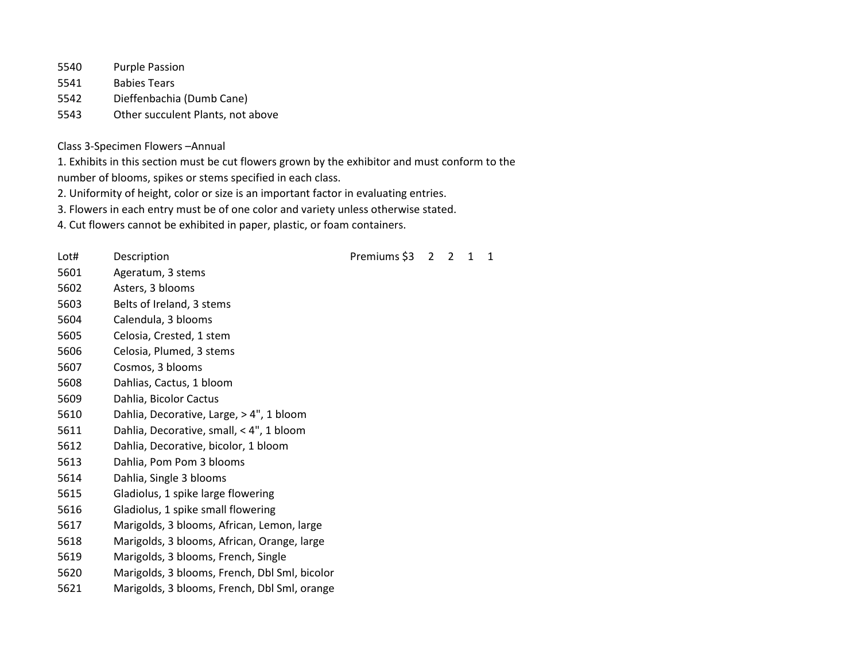Purple Passion

Babies Tears

- Dieffenbachia (Dumb Cane)
- Other succulent Plants, not above

## Class 3-Specimen Flowers –Annual

1. Exhibits in this section must be cut flowers grown by the exhibitor and must conform to the

number of blooms, spikes or stems specified in each class.

2. Uniformity of height, color or size is an important factor in evaluating entries.

3. Flowers in each entry must be of one color and variety unless otherwise stated.

4. Cut flowers cannot be exhibited in paper, plastic, or foam containers.

Lot# Description **Description** Description **Premiums** \$3 2 2 1 1 Ageratum, 3 stems Asters, 3 blooms Belts of Ireland, 3 stems Calendula, 3 blooms Celosia, Crested, 1 stem Celosia, Plumed, 3 stems Cosmos, 3 blooms Dahlias, Cactus, 1 bloom Dahlia, Bicolor Cactus Dahlia, Decorative, Large, > 4", 1 bloom Dahlia, Decorative, small, < 4", 1 bloom Dahlia, Decorative, bicolor, 1 bloom Dahlia, Pom Pom 3 blooms Dahlia, Single 3 blooms Gladiolus, 1 spike large flowering Gladiolus, 1 spike small flowering Marigolds, 3 blooms, African, Lemon, large Marigolds, 3 blooms, African, Orange, large Marigolds, 3 blooms, French, Single Marigolds, 3 blooms, French, Dbl Sml, bicolor Marigolds, 3 blooms, French, Dbl Sml, orange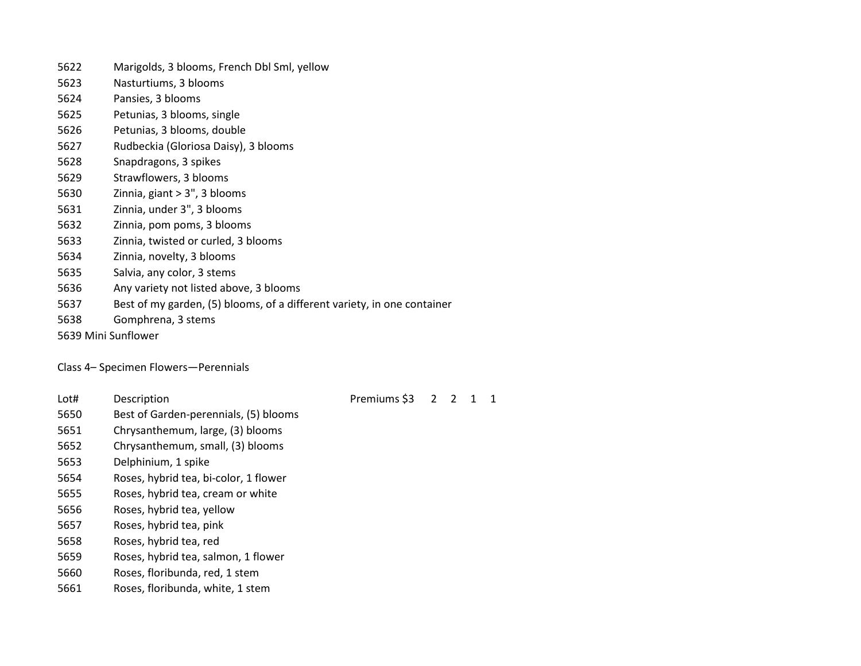- Marigolds, 3 blooms, French Dbl Sml, yellow
- Nasturtiums, 3 blooms
- Pansies, 3 blooms
- Petunias, 3 blooms, single
- Petunias, 3 blooms, double
- Rudbeckia (Gloriosa Daisy), 3 blooms
- Snapdragons, 3 spikes
- Strawflowers, 3 blooms
- Zinnia, giant > 3", 3 blooms
- Zinnia, under 3", 3 blooms
- Zinnia, pom poms, 3 blooms
- Zinnia, twisted or curled, 3 blooms
- Zinnia, novelty, 3 blooms
- Salvia, any color, 3 stems
- Any variety not listed above, 3 blooms
- Best of my garden, (5) blooms, of a different variety, in one container
- Gomphrena, 3 stems
- 5639 Mini Sunflower

## Class 4– Specimen Flowers—Perennials

Lot# Description **Premiums** \$3 2 2 1 1

- Best of Garden-perennials, (5) blooms
- Chrysanthemum, large, (3) blooms
- Chrysanthemum, small, (3) blooms
- Delphinium, 1 spike
- Roses, hybrid tea, bi-color, 1 flower
- Roses, hybrid tea, cream or white
- Roses, hybrid tea, yellow
- Roses, hybrid tea, pink
- Roses, hybrid tea, red
- Roses, hybrid tea, salmon, 1 flower
- Roses, floribunda, red, 1 stem
- Roses, floribunda, white, 1 stem